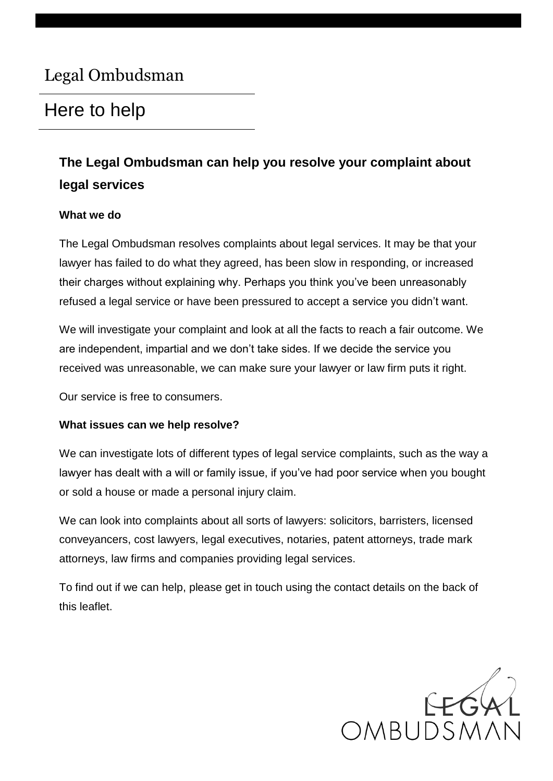# Legal Ombudsman

# Here to help

## **The Legal Ombudsman can help you resolve your complaint about legal services**

#### **What we do**

The Legal Ombudsman resolves complaints about legal services. It may be that your lawyer has failed to do what they agreed, has been slow in responding, or increased their charges without explaining why. Perhaps you think you've been unreasonably refused a legal service or have been pressured to accept a service you didn't want.

We will investigate your complaint and look at all the facts to reach a fair outcome. We are independent, impartial and we don't take sides. If we decide the service you received was unreasonable, we can make sure your lawyer or law firm puts it right.

Our service is free to consumers.

#### **What issues can we help resolve?**

We can investigate lots of different types of legal service complaints, such as the way a lawyer has dealt with a will or family issue, if you've had poor service when you bought or sold a house or made a personal injury claim.

We can look into complaints about all sorts of lawyers: solicitors, barristers, licensed conveyancers, cost lawyers, legal executives, notaries, patent attorneys, trade mark attorneys, law firms and companies providing legal services.

To find out if we can help, please get in touch using the contact details on the back of this leaflet.

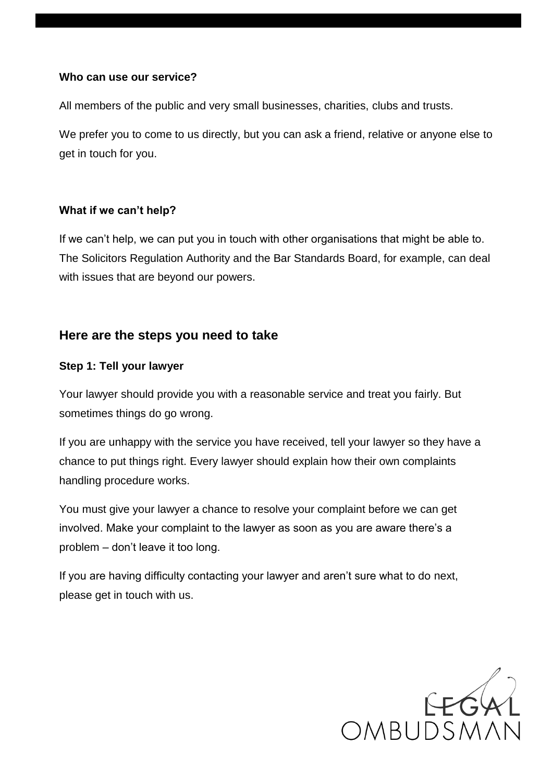#### **Who can use our service?**

All members of the public and very small businesses, charities, clubs and trusts.

We prefer you to come to us directly, but you can ask a friend, relative or anyone else to get in touch for you.

#### **What if we can't help?**

If we can't help, we can put you in touch with other organisations that might be able to. The Solicitors Regulation Authority and the Bar Standards Board, for example, can deal with issues that are beyond our powers.

## **Here are the steps you need to take**

#### **Step 1: Tell your lawyer**

Your lawyer should provide you with a reasonable service and treat you fairly. But sometimes things do go wrong.

If you are unhappy with the service you have received, tell your lawyer so they have a chance to put things right. Every lawyer should explain how their own complaints handling procedure works.

You must give your lawyer a chance to resolve your complaint before we can get involved. Make your complaint to the lawyer as soon as you are aware there's a problem – don't leave it too long.

If you are having difficulty contacting your lawyer and aren't sure what to do next, please get in touch with us.

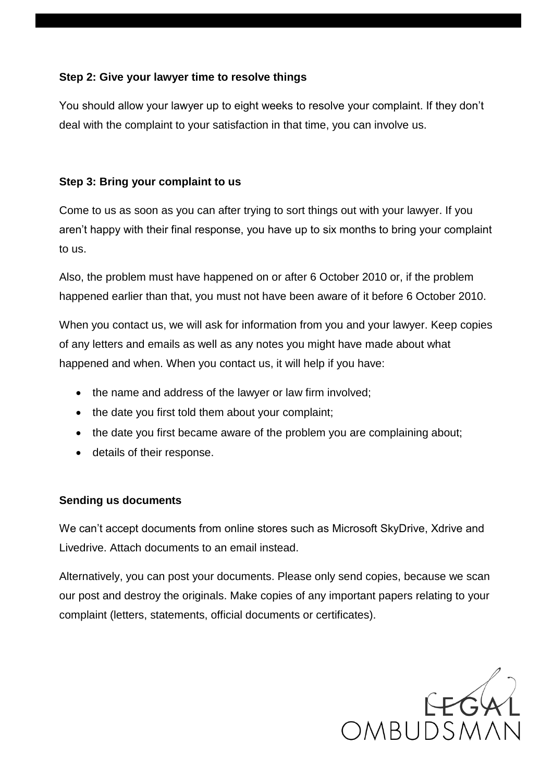#### **Step 2: Give your lawyer time to resolve things**

You should allow your lawyer up to eight weeks to resolve your complaint. If they don't deal with the complaint to your satisfaction in that time, you can involve us.

### **Step 3: Bring your complaint to us**

Come to us as soon as you can after trying to sort things out with your lawyer. If you aren't happy with their final response, you have up to six months to bring your complaint to us.

Also, the problem must have happened on or after 6 October 2010 or, if the problem happened earlier than that, you must not have been aware of it before 6 October 2010.

When you contact us, we will ask for information from you and your lawyer. Keep copies of any letters and emails as well as any notes you might have made about what happened and when. When you contact us, it will help if you have:

- the name and address of the lawyer or law firm involved;
- the date you first told them about your complaint;
- the date you first became aware of the problem you are complaining about;
- details of their response.

#### **Sending us documents**

We can't accept documents from online stores such as Microsoft SkyDrive, Xdrive and Livedrive. Attach documents to an email instead.

Alternatively, you can post your documents. Please only send copies, because we scan our post and destroy the originals. Make copies of any important papers relating to your complaint (letters, statements, official documents or certificates).

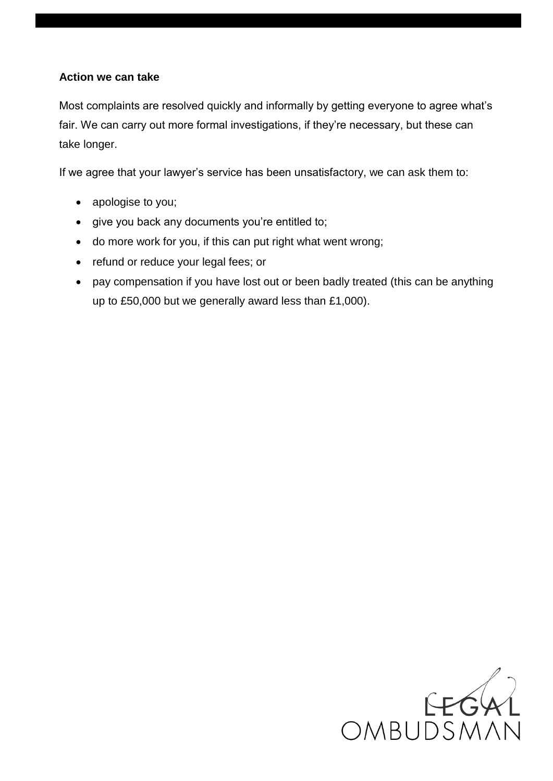#### **Action we can take**

Most complaints are resolved quickly and informally by getting everyone to agree what's fair. We can carry out more formal investigations, if they're necessary, but these can take longer.

If we agree that your lawyer's service has been unsatisfactory, we can ask them to:

- apologise to you;
- give you back any documents you're entitled to;
- do more work for you, if this can put right what went wrong;
- refund or reduce your legal fees; or
- pay compensation if you have lost out or been badly treated (this can be anything up to £50,000 but we generally award less than £1,000).